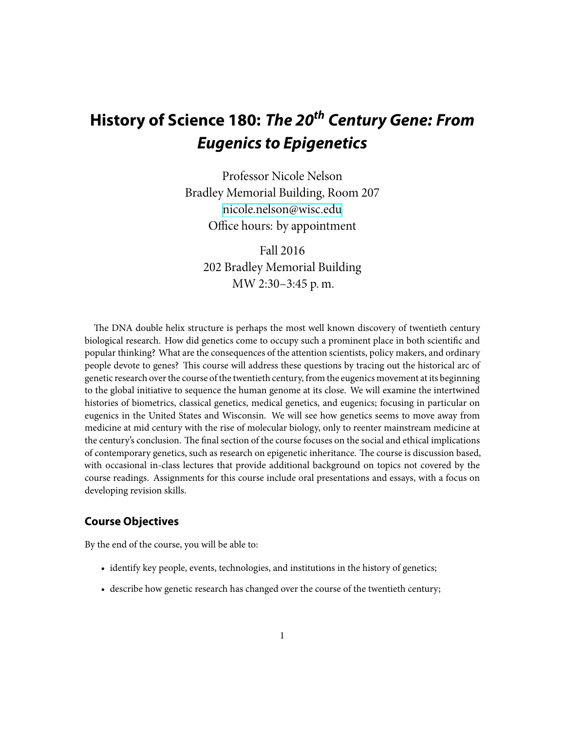# **History of Science 180:** *The 20th Century Gene: From Eugenics to Epigenetics*

Professor Nicole Nelson Bradley Memorial Building, Room 207 [nicole.nelson@wisc.edu](mailto:nicole.nelson@wisc.edu) Office hours: by appointment

Fall 2016 202 Bradley Memorial Building MW 2:30–3:45 p. m.

The DNA double helix structure is perhaps the most well known discovery of twentieth century biological research. How did genetics come to occupy such a prominent place in both scientific and popular thinking? What are the consequences of the attention scientists, policy makers, and ordinary people devote to genes? This course will address these questions by tracing out the historical arc of genetic research over the course of the twentieth century, from the eugenics movement at its beginning to the global initiative to sequence the human genome at its close. We will examine the intertwined histories of biometrics, classical genetics, medical genetics, and eugenics; focusing in particular on eugenics in the United States and Wisconsin. We will see how genetics seems to move away from medicine at mid century with the rise of molecular biology, only to reenter mainstream medicine at the century's conclusion. The final section of the course focuses on the social and ethical implications of contemporary genetics, such as research on epigenetic inheritance. The course is discussion based, with occasional in-class lectures that provide additional background on topics not covered by the course readings. Assignments for this course include oral presentations and essays, with a focus on developing revision skills.

# **Course Objectives**

By the end of the course, you will be able to:

- identify key people, events, technologies, and institutions in the history of genetics;
- describe how genetic research has changed over the course of the twentieth century;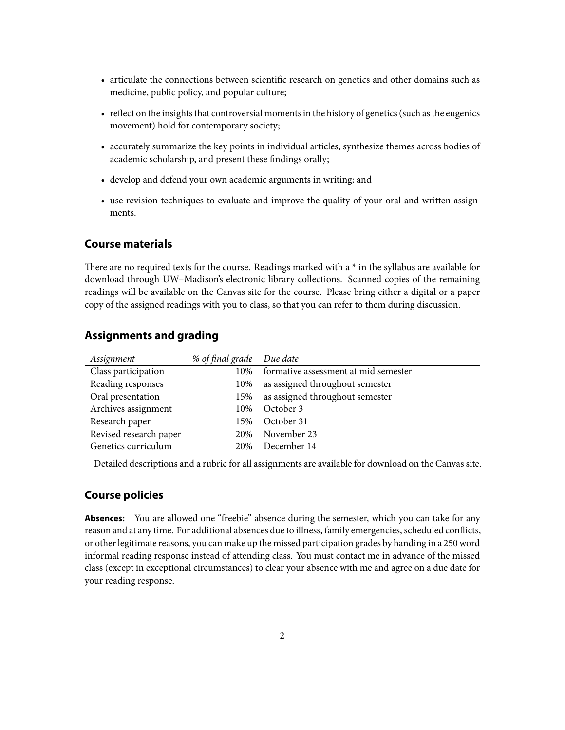- articulate the connections between scientific research on genetics and other domains such as medicine, public policy, and popular culture;
- reflect on the insights that controversial moments in the history of genetics (such as the eugenics movement) hold for contemporary society;
- accurately summarize the key points in individual articles, synthesize themes across bodies of academic scholarship, and present these findings orally;
- develop and defend your own academic arguments in writing; and
- use revision techniques to evaluate and improve the quality of your oral and written assignments.

# **Course materials**

There are no required texts for the course. Readings marked with a  $*$  in the syllabus are available for download through UW–Madison's electronic library collections. Scanned copies of the remaining readings will be available on the Canvas site for the course. Please bring either a digital or a paper copy of the assigned readings with you to class, so that you can refer to them during discussion.

# **Assignments and grading**

| Assignment             | % of final grade Due date |                                      |
|------------------------|---------------------------|--------------------------------------|
| Class participation    | 10%                       | formative assessment at mid semester |
| Reading responses      | 10%                       | as assigned throughout semester      |
| Oral presentation      | 15%                       | as assigned throughout semester      |
| Archives assignment    | 10%                       | October 3                            |
| Research paper         | 15%                       | October 31                           |
| Revised research paper | 20%                       | November 23                          |
| Genetics curriculum    | 20%                       | December 14                          |

Detailed descriptions and a rubric for all assignments are available for download on the Canvas site.

# **Course policies**

**Absences:** You are allowed one "freebie" absence during the semester, which you can take for any reason and at any time. For additional absences due to illness, family emergencies, scheduled conflicts, or other legitimate reasons, you can make up the missed participation grades by handing in a 250 word informal reading response instead of attending class. You must contact me in advance of the missed class (except in exceptional circumstances) to clear your absence with me and agree on a due date for your reading response.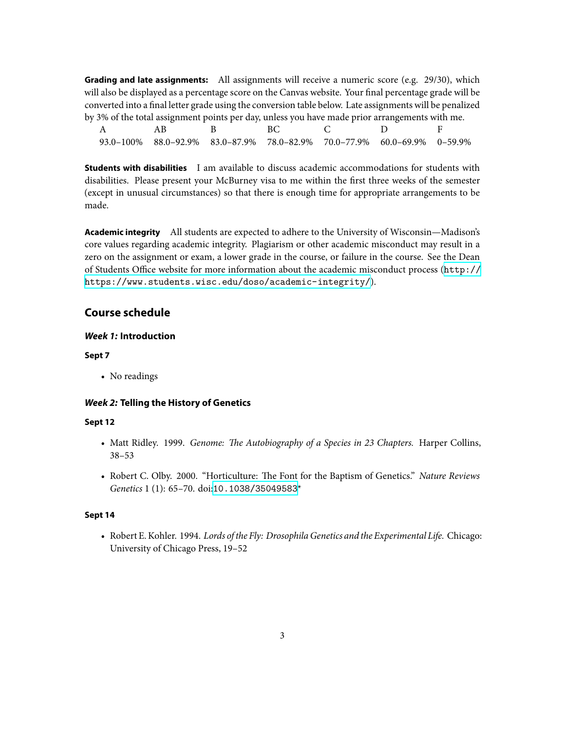**Grading and late assignments:** All assignments will receive a numeric score (e.g. 29/30), which will also be displayed as a percentage score on the Canvas website. Your final percentage grade will be converted into a final letter grade using the conversion table below. Late assignments will be penalized by 3% of the total assignment points per day, unless you have made prior arrangements with me.

| A B | and the BC and the Contract of the Contract of the Contract of the Contract of the Contract of the Contract of |  |  |
|-----|----------------------------------------------------------------------------------------------------------------|--|--|
|     | 93.0-100% 88.0-92.9% 83.0-87.9% 78.0-82.9% 70.0-77.9% 60.0-69.9% 0-59.9%                                       |  |  |

**Students with disabilities** I am available to discuss academic accommodations for students with disabilities. Please present your McBurney visa to me within the first three weeks of the semester (except in unusual circumstances) so that there is enough time for appropriate arrangements to be made.

**Academic integrity** All students are expected to adhere to the University of Wisconsin—Madison's core values regarding academic integrity. Plagiarism or other academic misconduct may result in a zero on the assignment or exam, a lower grade in the course, or failure in the course. See the Dean of Students Office website for more information about the academic misconduct process ([http://](http://https://www.students.wisc.edu/doso/academic-integrity/) [https://www.students.wisc.edu/doso/academic-integrity/](http://https://www.students.wisc.edu/doso/academic-integrity/)).

# **Course schedule**

#### *Week 1:* **Introduction**

## **Sept 7**

• No readings

# *Week 2:* **Telling the History of Genetics**

#### **Sept 12**

- Matt Ridley. 1999. *Genome: The Autobiography of a Species in 23 Chapters*. Harper Collins, 38–53
- Robert C. Olby. 2000. "Horticulture: The Font for the Baptism of Genetics." *Nature Reviews Genetics* 1 (1): 65–70. doi:[10.1038/35049583](http://dx.doi.org/10.1038/35049583)\*

#### **Sept 14**

• Robert E. Kohler. 1994. *Lords of the Fly: Drosophila Genetics and the Experimental Life.* Chicago: University of Chicago Press, 19–52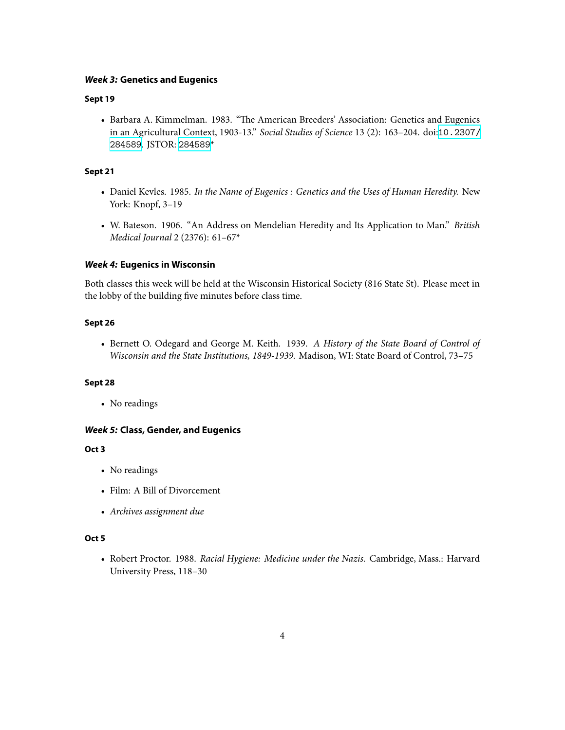#### *Week 3:* **Genetics and Eugenics**

## **Sept 19**

• Barbara A. Kimmelman. 1983. "The American Breeders' Association: Genetics and Eugenics in an Agricultural Context, 1903-13." *Social Studies of Science* 13 (2): 163–204. doi:[10.2307/](http://dx.doi.org/10.2307/284589) [284589](http://dx.doi.org/10.2307/284589). JSTOR: [284589](http://www.jstor.org/stable/284589)\*

## **Sept 21**

- Daniel Kevles. 1985. *In the Name of Eugenics : Genetics and the Uses of Human Heredity.* New York: Knopf, 3–19
- W. Bateson. 1906. "An Address on Mendelian Heredity and Its Application to Man." *British Medical Journal* 2 (2376): 61–67\*

## *Week 4:* **Eugenics in Wisconsin**

Both classes this week will be held at the Wisconsin Historical Society (816 State St). Please meet in the lobby of the building five minutes before class time.

#### **Sept 26**

• Bernett O. Odegard and George M. Keith. 1939. *A History of the State Board of Control of Wisconsin and the State Institutions, 1849-1939.* Madison, WI: State Board of Control, 73–75

#### **Sept 28**

• No readings

## *Week 5:* **Class, Gender, and Eugenics**

## **Oct 3**

- No readings
- Film: A Bill of Divorcement
- *Archives assignment due*

## **Oct 5**

• Robert Proctor. 1988. *Racial Hygiene: Medicine under the Nazis.* Cambridge, Mass.: Harvard University Press, 118–30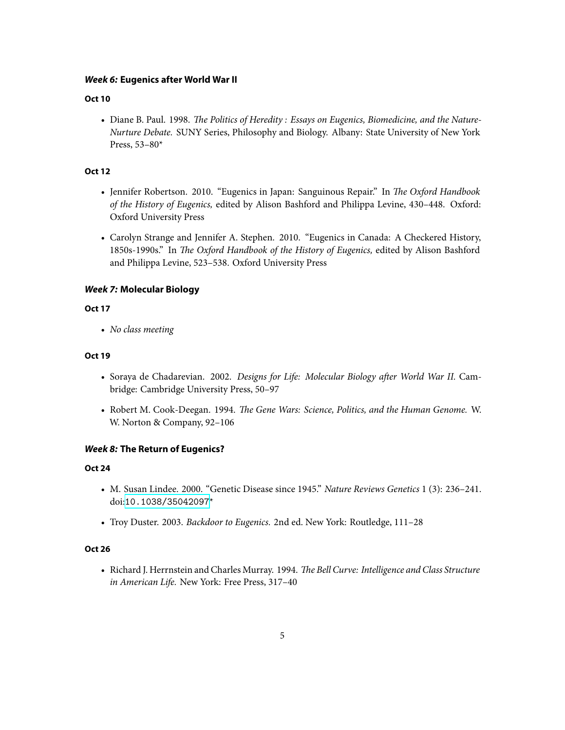## *Week 6:* **Eugenics after World War II**

#### **Oct 10**

• Diane B. Paul. 1998. *The Politics of Heredity : Essays on Eugenics, Biomedicine, and the Nature-Nurture Debate.* SUNY Series, Philosophy and Biology. Albany: State University of New York Press, 53–80\*

## **Oct 12**

- Jennifer Robertson. 2010. "Eugenics in Japan: Sanguinous Repair." In *The Oxford Handbook of the History of Eugenics,* edited by Alison Bashford and Philippa Levine, 430–448. Oxford: Oxford University Press
- Carolyn Strange and Jennifer A. Stephen. 2010. "Eugenics in Canada: A Checkered History, 1850s-1990s." In *The Oxford Handbook of the History of Eugenics*, edited by Alison Bashford and Philippa Levine, 523–538. Oxford University Press

## *Week 7:* **Molecular Biology**

## **Oct 17**

• *No class meeting*

## **Oct 19**

- Soraya de Chadarevian. 2002. *Designs for Life: Molecular Biology after World War II.* Cambridge: Cambridge University Press, 50–97
- Robert M. Cook-Deegan. 1994. *The Gene Wars: Science, Politics, and the Human Genome.* W. W. Norton & Company, 92–106

#### *Week 8:* **The Return of Eugenics?**

## **Oct 24**

- M. Susan Lindee. 2000. "Genetic Disease since 1945." *Nature Reviews Genetics* 1 (3): 236–241. doi:[10.1038/35042097](http://dx.doi.org/10.1038/35042097)\*
- Troy Duster. 2003. *Backdoor to Eugenics.* 2nd ed. New York: Routledge, 111–28

## **Oct 26**

• Richard J. Herrnstein and Charles Murray. 1994. *The Bell Curve: Intelligence and Class Structure in American Life.* New York: Free Press, 317–40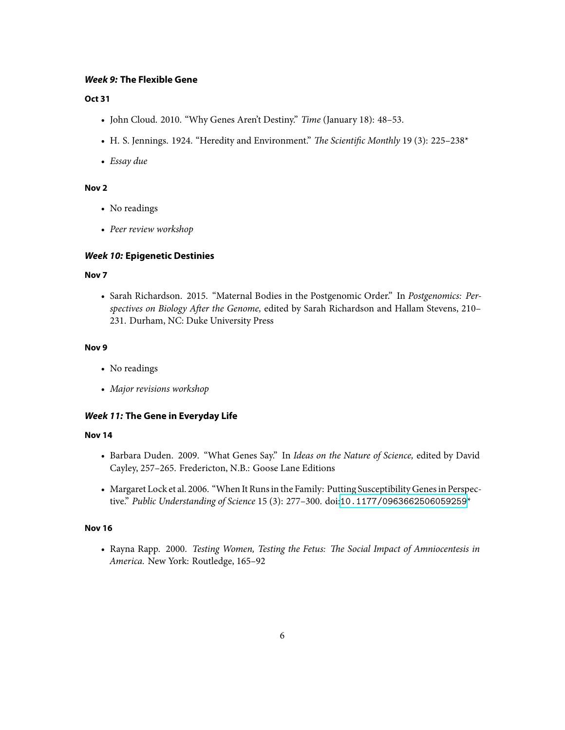#### *Week 9:* **The Flexible Gene**

#### **Oct 31**

- John Cloud. 2010. "Why Genes Aren't Destiny." *Time* (January 18): 48–53.
- H. S. Jennings. 1924. "Heredity and Environment." *The Scientific Monthly* 19 (3): 225-238\*
- *Essay due*

## **Nov 2**

- No readings
- *Peer review workshop*

## *Week 10:* **Epigenetic Destinies**

## **Nov 7**

• Sarah Richardson. 2015. "Maternal Bodies in the Postgenomic Order." In *Postgenomics: Per*spectives on Biology After the Genome, edited by Sarah Richardson and Hallam Stevens, 210-231. Durham, NC: Duke University Press

#### **Nov 9**

- No readings
- *Major revisions workshop*

## *Week 11:* **The Gene in Everyday Life**

#### **Nov 14**

- Barbara Duden. 2009. "What Genes Say." In *Ideas on the Nature of Science,* edited by David Cayley, 257–265. Fredericton, N.B.: Goose Lane Editions
- Margaret Lock et al. 2006. "When It Runs in the Family: Putting Susceptibility Genes in Perspective." *Public Understanding of Science* 15 (3): 277–300. doi:[10.1177/0963662506059259](http://dx.doi.org/10.1177/0963662506059259)\*

#### **Nov 16**

• Rayna Rapp. 2000. *Testing Women, Testing the Fetus: The Social Impact of Amniocentesis in America.* New York: Routledge, 165–92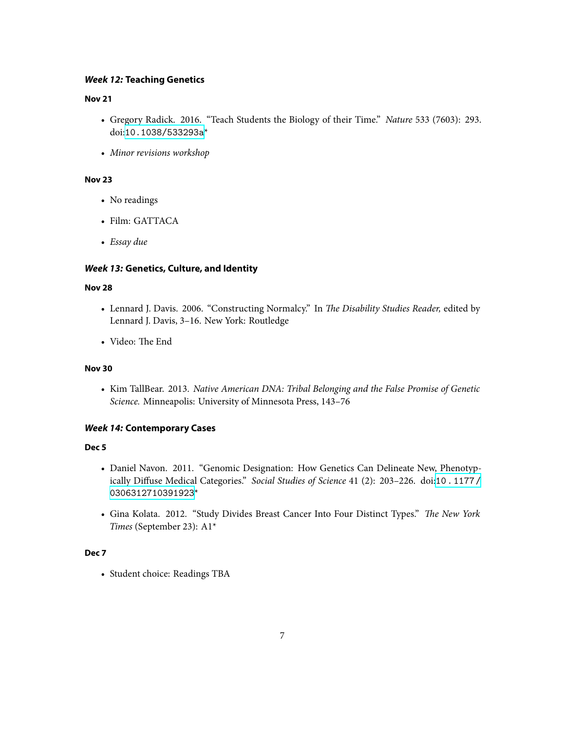## *Week 12:* **Teaching Genetics**

#### **Nov 21**

- Gregory Radick. 2016. "Teach Students the Biology of their Time." *Nature* 533 (7603): 293. doi:[10.1038/533293a](http://dx.doi.org/10.1038/533293a)\*
- *Minor revisions workshop*

## **Nov 23**

- No readings
- Film: GATTACA
- *Essay due*

# *Week 13:* **Genetics, Culture, and Identity**

## **Nov 28**

- Lennard J. Davis. 2006. "Constructing Normalcy." In *The Disability Studies Reader*, edited by Lennard J. Davis, 3–16. New York: Routledge
- Video: The End

#### **Nov 30**

• Kim TallBear. 2013. *Native American DNA: Tribal Belonging and the False Promise of Genetic Science.* Minneapolis: University of Minnesota Press, 143–76

## *Week 14:* **Contemporary Cases**

## **Dec 5**

- Daniel Navon. 2011. "Genomic Designation: How Genetics Can Delineate New, Phenotypically Diffuse Medical Categories." *Social Studies of Science* 41 (2): 203–226. doi:[10.1177/](http://dx.doi.org/10.1177/0306312710391923) [0306312710391923](http://dx.doi.org/10.1177/0306312710391923)\*
- Gina Kolata. 2012. "Study Divides Breast Cancer Into Four Distinct Types." *The New York Times* (September 23): A1\*

## **Dec 7**

• Student choice: Readings TBA